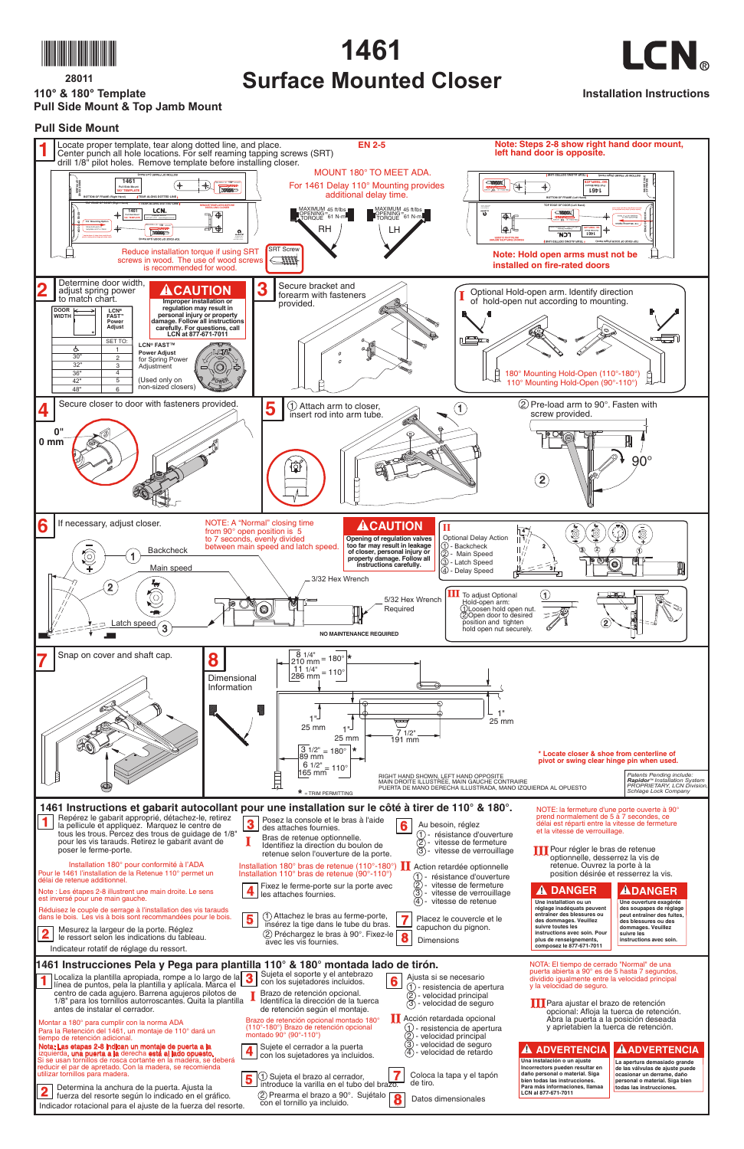

**28011 110° & 180° Template Pull Side Mount & Top Jamb Mount**



## **1461 Surface Mounted Closer**



**Installation Instructions**